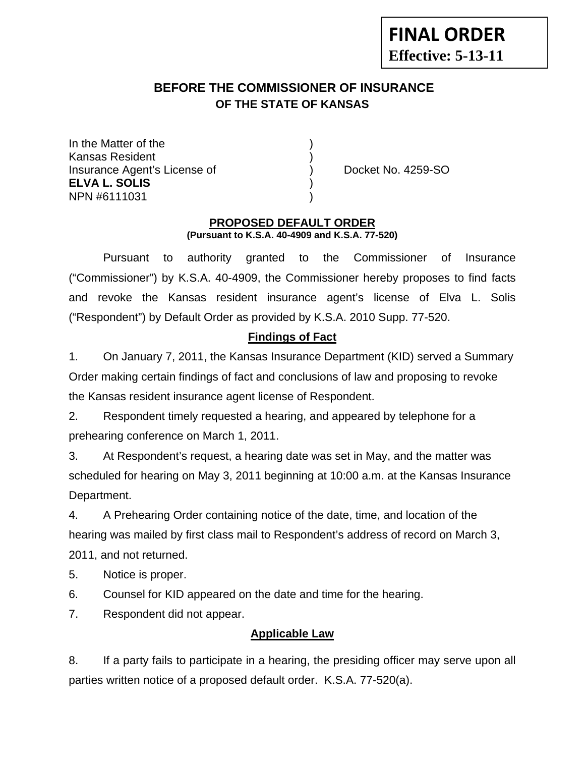# **FINAL ORDER Effective: 5-13-11**

## **BEFORE THE COMMISSIONER OF INSURANCE OF THE STATE OF KANSAS**

In the Matter of the Kansas Resident ) Insurance Agent's License of (a) Docket No. 4259-SO **ELVA L. SOLIS** ) NPN #6111031 )

#### **PROPOSED DEFAULT ORDER (Pursuant to K.S.A. 40-4909 and K.S.A. 77-520)**

 Pursuant to authority granted to the Commissioner of Insurance ("Commissioner") by K.S.A. 40-4909, the Commissioner hereby proposes to find facts and revoke the Kansas resident insurance agent's license of Elva L. Solis ("Respondent") by Default Order as provided by K.S.A. 2010 Supp. 77-520.

## **Findings of Fact**

1. On January 7, 2011, the Kansas Insurance Department (KID) served a Summary Order making certain findings of fact and conclusions of law and proposing to revoke the Kansas resident insurance agent license of Respondent.

2. Respondent timely requested a hearing, and appeared by telephone for a prehearing conference on March 1, 2011.

3. At Respondent's request, a hearing date was set in May, and the matter was scheduled for hearing on May 3, 2011 beginning at 10:00 a.m. at the Kansas Insurance Department.

4. A Prehearing Order containing notice of the date, time, and location of the hearing was mailed by first class mail to Respondent's address of record on March 3, 2011, and not returned.

5. Notice is proper.

6. Counsel for KID appeared on the date and time for the hearing.

7. Respondent did not appear.

## **Applicable Law**

8. If a party fails to participate in a hearing, the presiding officer may serve upon all parties written notice of a proposed default order. K.S.A. 77-520(a).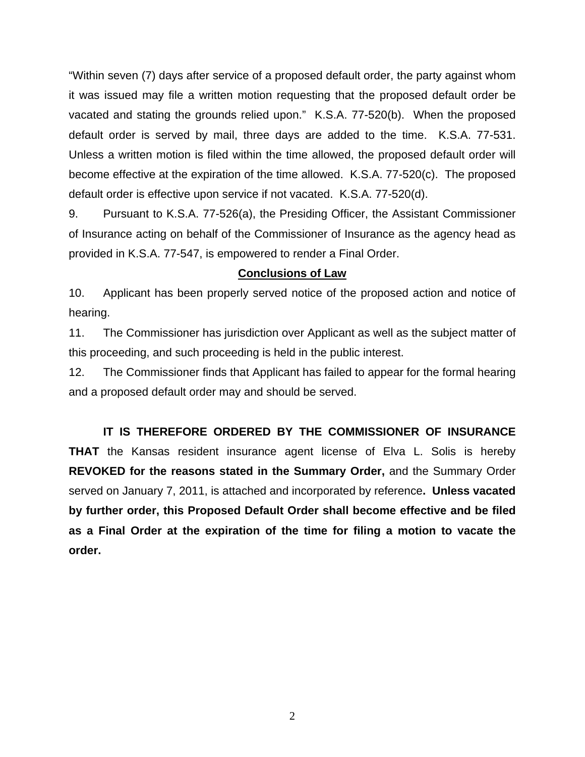"Within seven (7) days after service of a proposed default order, the party against whom it was issued may file a written motion requesting that the proposed default order be vacated and stating the grounds relied upon." K.S.A. 77-520(b). When the proposed default order is served by mail, three days are added to the time. K.S.A. 77-531. Unless a written motion is filed within the time allowed, the proposed default order will become effective at the expiration of the time allowed. K.S.A. 77-520(c). The proposed default order is effective upon service if not vacated. K.S.A. 77-520(d).

9. Pursuant to K.S.A. 77-526(a), the Presiding Officer, the Assistant Commissioner of Insurance acting on behalf of the Commissioner of Insurance as the agency head as provided in K.S.A. 77-547, is empowered to render a Final Order.

#### **Conclusions of Law**

10. Applicant has been properly served notice of the proposed action and notice of hearing.

11. The Commissioner has jurisdiction over Applicant as well as the subject matter of this proceeding, and such proceeding is held in the public interest.

12. The Commissioner finds that Applicant has failed to appear for the formal hearing and a proposed default order may and should be served.

 **IT IS THEREFORE ORDERED BY THE COMMISSIONER OF INSURANCE THAT** the Kansas resident insurance agent license of Elva L. Solis is hereby **REVOKED for the reasons stated in the Summary Order,** and the Summary Order served on January 7, 2011, is attached and incorporated by reference**. Unless vacated by further order, this Proposed Default Order shall become effective and be filed as a Final Order at the expiration of the time for filing a motion to vacate the order.**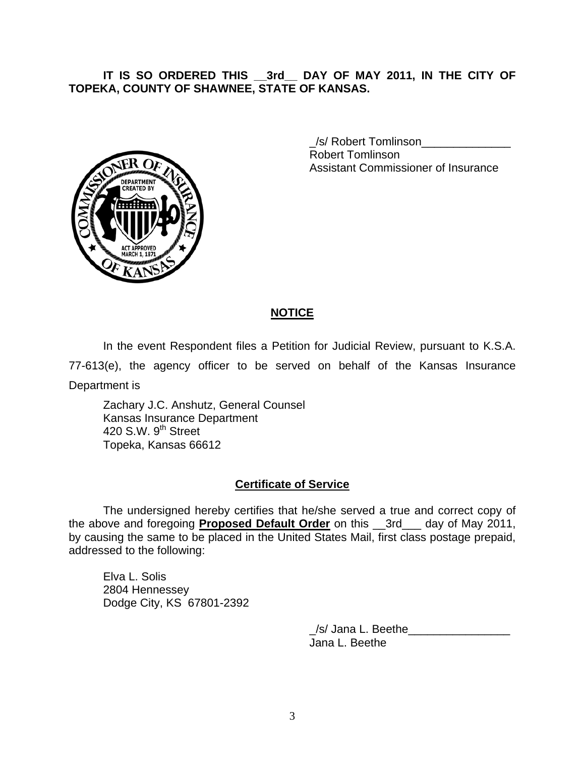#### **IT IS SO ORDERED THIS \_\_3rd\_\_ DAY OF MAY 2011, IN THE CITY OF TOPEKA, COUNTY OF SHAWNEE, STATE OF KANSAS.**



 \_/s/ Robert Tomlinson\_\_\_\_\_\_\_\_\_\_\_\_\_\_ Robert Tomlinson Assistant Commissioner of Insurance

#### **NOTICE**

In the event Respondent files a Petition for Judicial Review, pursuant to K.S.A.

77-613(e), the agency officer to be served on behalf of the Kansas Insurance Department is

 Zachary J.C. Anshutz, General Counsel Kansas Insurance Department 420 S.W.  $9<sup>th</sup>$  Street Topeka, Kansas 66612

## **Certificate of Service**

 The undersigned hereby certifies that he/she served a true and correct copy of the above and foregoing **Proposed Default Order** on this \_\_3rd\_\_\_ day of May 2011, by causing the same to be placed in the United States Mail, first class postage prepaid, addressed to the following:

Elva L. Solis 2804 Hennessey Dodge City, KS 67801-2392

> \_/s/ Jana L. Beethe\_\_\_\_\_\_\_\_\_\_\_\_\_\_\_\_ Jana L. Beethe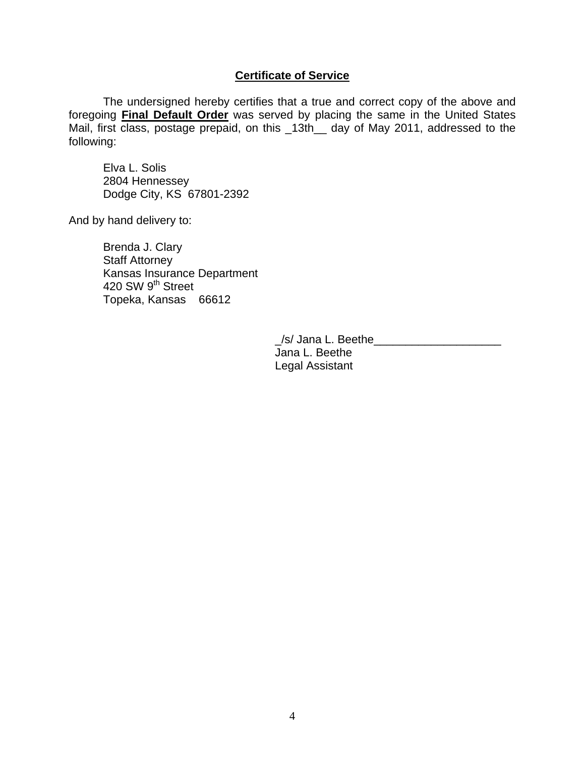#### **Certificate of Service**

The undersigned hereby certifies that a true and correct copy of the above and foregoing **Final Default Order** was served by placing the same in the United States Mail, first class, postage prepaid, on this \_13th\_\_ day of May 2011, addressed to the following:

Elva L. Solis 2804 Hennessey Dodge City, KS 67801-2392

And by hand delivery to:

 Brenda J. Clary Staff Attorney Kansas Insurance Department 420 SW 9<sup>th</sup> Street Topeka, Kansas 66612

> /s/ Jana L. Beethe Jana L. Beethe Legal Assistant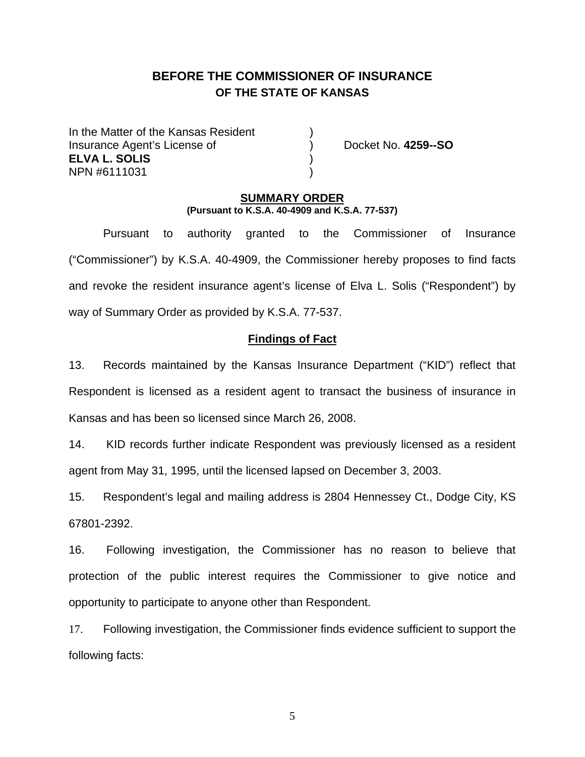## **BEFORE THE COMMISSIONER OF INSURANCE OF THE STATE OF KANSAS**

In the Matter of the Kansas Resident Insurance Agent's License of ) Docket No. **4259--SO ELVA L. SOLIS** ) NPN #6111031 )

## **SUMMARY ORDER**

**(Pursuant to K.S.A. 40-4909 and K.S.A. 77-537)**

 Pursuant to authority granted to the Commissioner of Insurance ("Commissioner") by K.S.A. 40-4909, the Commissioner hereby proposes to find facts and revoke the resident insurance agent's license of Elva L. Solis ("Respondent") by way of Summary Order as provided by K.S.A. 77-537.

#### **Findings of Fact**

13. Records maintained by the Kansas Insurance Department ("KID") reflect that Respondent is licensed as a resident agent to transact the business of insurance in Kansas and has been so licensed since March 26, 2008.

14. KID records further indicate Respondent was previously licensed as a resident agent from May 31, 1995, until the licensed lapsed on December 3, 2003.

15. Respondent's legal and mailing address is 2804 Hennessey Ct., Dodge City, KS 67801-2392.

16. Following investigation, the Commissioner has no reason to believe that protection of the public interest requires the Commissioner to give notice and opportunity to participate to anyone other than Respondent.

17. Following investigation, the Commissioner finds evidence sufficient to support the following facts:

5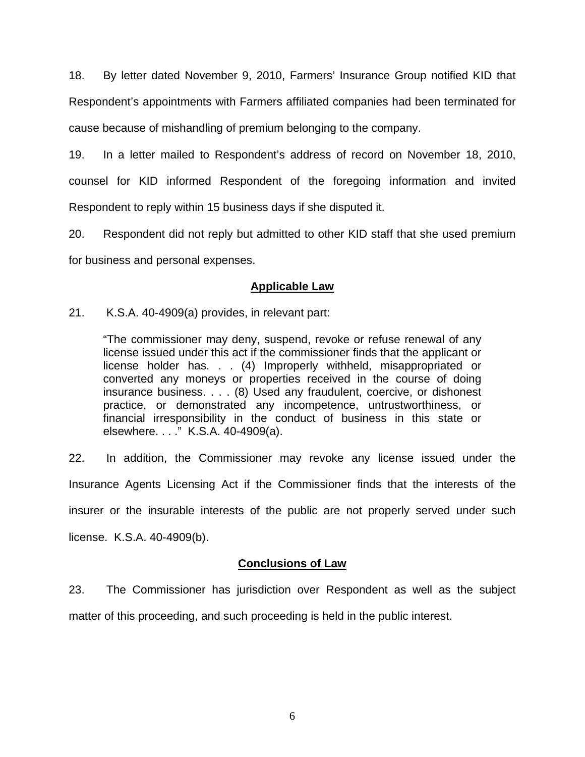18. By letter dated November 9, 2010, Farmers' Insurance Group notified KID that Respondent's appointments with Farmers affiliated companies had been terminated for cause because of mishandling of premium belonging to the company.

19. In a letter mailed to Respondent's address of record on November 18, 2010, counsel for KID informed Respondent of the foregoing information and invited Respondent to reply within 15 business days if she disputed it.

20. Respondent did not reply but admitted to other KID staff that she used premium for business and personal expenses.

## **Applicable Law**

21. K.S.A. 40-4909(a) provides, in relevant part:

"The commissioner may deny, suspend, revoke or refuse renewal of any license issued under this act if the commissioner finds that the applicant or license holder has. . . (4) Improperly withheld, misappropriated or converted any moneys or properties received in the course of doing insurance business. . . . (8) Used any fraudulent, coercive, or dishonest practice, or demonstrated any incompetence, untrustworthiness, or financial irresponsibility in the conduct of business in this state or elsewhere. . . ." K.S.A. 40-4909(a).

22. In addition, the Commissioner may revoke any license issued under the Insurance Agents Licensing Act if the Commissioner finds that the interests of the insurer or the insurable interests of the public are not properly served under such license. K.S.A. 40-4909(b).

## **Conclusions of Law**

23. The Commissioner has jurisdiction over Respondent as well as the subject matter of this proceeding, and such proceeding is held in the public interest.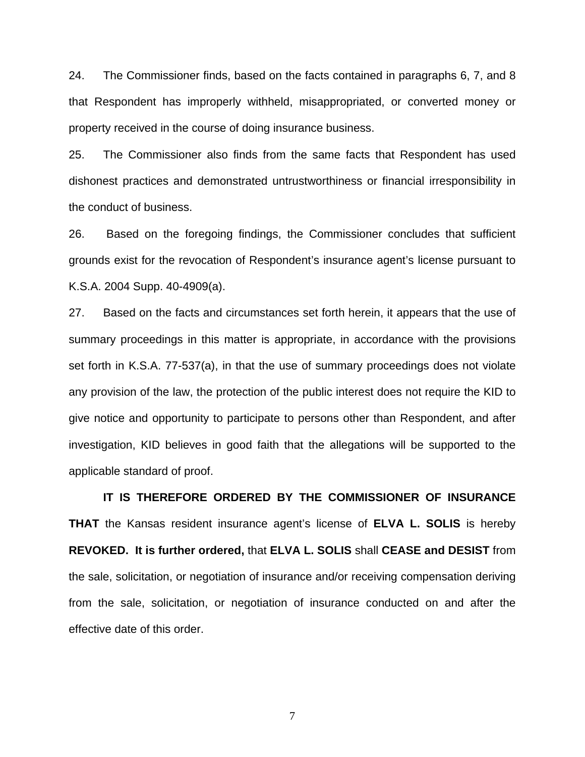24. The Commissioner finds, based on the facts contained in paragraphs 6, 7, and 8 that Respondent has improperly withheld, misappropriated, or converted money or property received in the course of doing insurance business.

25. The Commissioner also finds from the same facts that Respondent has used dishonest practices and demonstrated untrustworthiness or financial irresponsibility in the conduct of business.

26. Based on the foregoing findings, the Commissioner concludes that sufficient grounds exist for the revocation of Respondent's insurance agent's license pursuant to K.S.A. 2004 Supp. 40-4909(a).

27. Based on the facts and circumstances set forth herein, it appears that the use of summary proceedings in this matter is appropriate, in accordance with the provisions set forth in K.S.A. 77-537(a), in that the use of summary proceedings does not violate any provision of the law, the protection of the public interest does not require the KID to give notice and opportunity to participate to persons other than Respondent, and after investigation, KID believes in good faith that the allegations will be supported to the applicable standard of proof.

 **IT IS THEREFORE ORDERED BY THE COMMISSIONER OF INSURANCE THAT** the Kansas resident insurance agent's license of **ELVA L. SOLIS** is hereby **REVOKED. It is further ordered,** that **ELVA L. SOLIS** shall **CEASE and DESIST** from the sale, solicitation, or negotiation of insurance and/or receiving compensation deriving from the sale, solicitation, or negotiation of insurance conducted on and after the effective date of this order.

7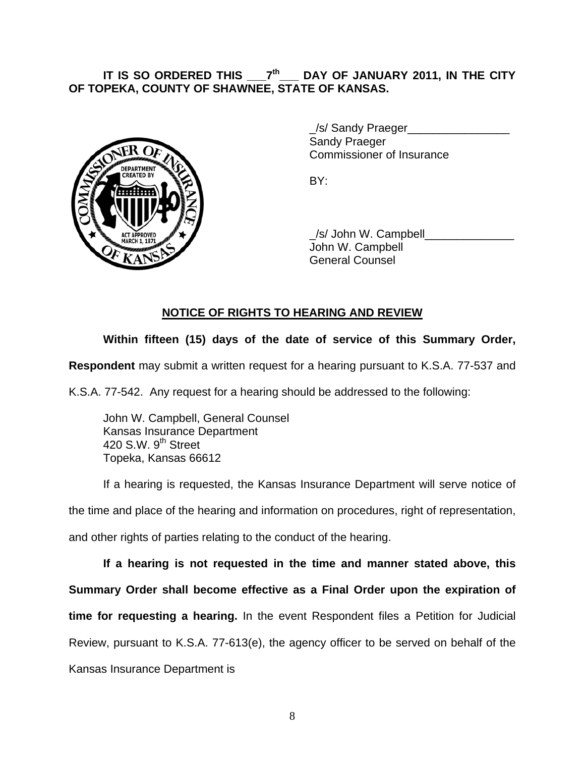#### **IT IS SO ORDERED THIS \_\_\_7th\_\_\_ DAY OF JANUARY 2011, IN THE CITY OF TOPEKA, COUNTY OF SHAWNEE, STATE OF KANSAS.**



/s/ Sandy Praeger Sandy Praeger Commissioner of Insurance

 \_/s/ John W. Campbell\_\_\_\_\_\_\_\_\_\_\_\_\_\_ John W. Campbell General Counsel

## **NOTICE OF RIGHTS TO HEARING AND REVIEW**

## **Within fifteen (15) days of the date of service of this Summary Order,**

**Respondent** may submit a written request for a hearing pursuant to K.S.A. 77-537 and

K.S.A. 77-542. Any request for a hearing should be addressed to the following:

 John W. Campbell, General Counsel Kansas Insurance Department 420 S.W. 9<sup>th</sup> Street Topeka, Kansas 66612

If a hearing is requested, the Kansas Insurance Department will serve notice of the time and place of the hearing and information on procedures, right of representation, and other rights of parties relating to the conduct of the hearing.

**If a hearing is not requested in the time and manner stated above, this Summary Order shall become effective as a Final Order upon the expiration of time for requesting a hearing.** In the event Respondent files a Petition for Judicial Review, pursuant to K.S.A. 77-613(e), the agency officer to be served on behalf of the Kansas Insurance Department is